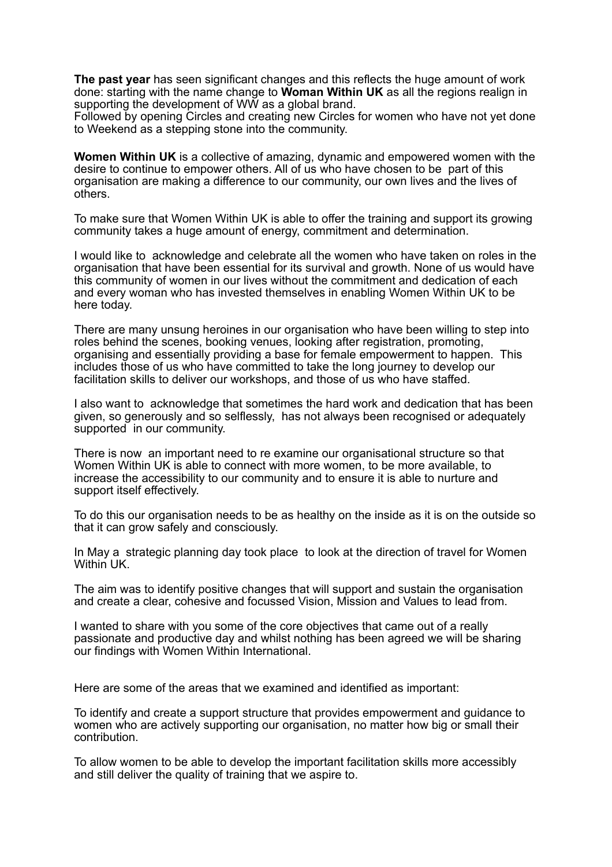**The past year** has seen significant changes and this reflects the huge amount of work done: starting with the name change to **Woman Within UK** as all the regions realign in supporting the development of WW as a global brand.

Followed by opening Circles and creating new Circles for women who have not yet done to Weekend as a stepping stone into the community.

**Women Within UK** is a collective of amazing, dynamic and empowered women with the desire to continue to empower others. All of us who have chosen to be part of this organisation are making a difference to our community, our own lives and the lives of others.

To make sure that Women Within UK is able to offer the training and support its growing community takes a huge amount of energy, commitment and determination.

I would like to acknowledge and celebrate all the women who have taken on roles in the organisation that have been essential for its survival and growth. None of us would have this community of women in our lives without the commitment and dedication of each and every woman who has invested themselves in enabling Women Within UK to be here today.

There are many unsung heroines in our organisation who have been willing to step into roles behind the scenes, booking venues, looking after registration, promoting, organising and essentially providing a base for female empowerment to happen. This includes those of us who have committed to take the long journey to develop our facilitation skills to deliver our workshops, and those of us who have staffed.

I also want to acknowledge that sometimes the hard work and dedication that has been given, so generously and so selflessly, has not always been recognised or adequately supported in our community.

There is now an important need to re examine our organisational structure so that Women Within UK is able to connect with more women, to be more available, to increase the accessibility to our community and to ensure it is able to nurture and support itself effectively.

To do this our organisation needs to be as healthy on the inside as it is on the outside so that it can grow safely and consciously.

In May a strategic planning day took place to look at the direction of travel for Women Within UK.

The aim was to identify positive changes that will support and sustain the organisation and create a clear, cohesive and focussed Vision, Mission and Values to lead from.

I wanted to share with you some of the core objectives that came out of a really passionate and productive day and whilst nothing has been agreed we will be sharing our findings with Women Within International.

Here are some of the areas that we examined and identified as important:

To identify and create a support structure that provides empowerment and guidance to women who are actively supporting our organisation, no matter how big or small their contribution.

To allow women to be able to develop the important facilitation skills more accessibly and still deliver the quality of training that we aspire to.